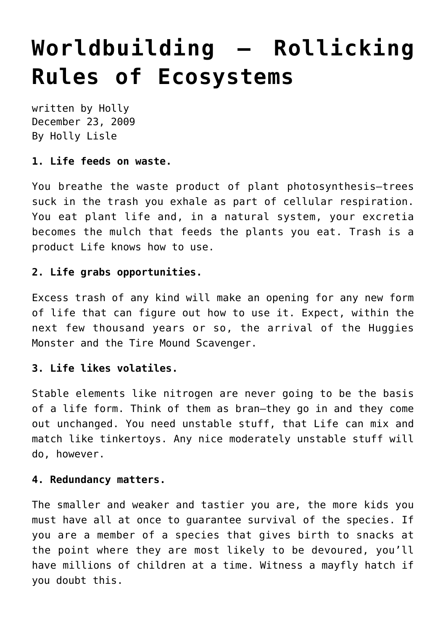# **[Worldbuilding — Rollicking](https://hollylisle.com/worldbuilding-rollicking-rules-of-ecosystems/) [Rules of Ecosystems](https://hollylisle.com/worldbuilding-rollicking-rules-of-ecosystems/)**

written by Holly December 23, 2009 [By Holly Lisle](https://hollylisle.com)

#### **1. Life feeds on waste.**

You breathe the waste product of plant photosynthesis—trees suck in the trash you exhale as part of cellular respiration. You eat plant life and, in a natural system, your excretia becomes the mulch that feeds the plants you eat. Trash is a product Life knows how to use.

## **2. Life grabs opportunities.**

Excess trash of any kind will make an opening for any new form of life that can figure out how to use it. Expect, within the next few thousand years or so, the arrival of the Huggies Monster and the Tire Mound Scavenger.

# **3. Life likes volatiles.**

Stable elements like nitrogen are never going to be the basis of a life form. Think of them as bran—they go in and they come out unchanged. You need unstable stuff, that Life can mix and match like tinkertoys. Any nice moderately unstable stuff will do, however.

#### **4. Redundancy matters.**

The smaller and weaker and tastier you are, the more kids you must have all at once to guarantee survival of the species. If you are a member of a species that gives birth to snacks at the point where they are most likely to be devoured, you'll have millions of children at a time. Witness a mayfly hatch if you doubt this.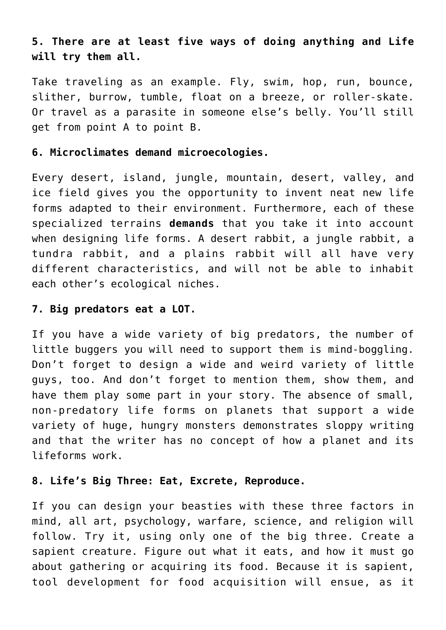# **5. There are at least five ways of doing anything and Life will try them all.**

Take traveling as an example. Fly, swim, hop, run, bounce, slither, burrow, tumble, float on a breeze, or roller-skate. Or travel as a parasite in someone else's belly. You'll still get from point A to point B.

#### **6. Microclimates demand microecologies.**

Every desert, island, jungle, mountain, desert, valley, and ice field gives you the opportunity to invent neat new life forms adapted to their environment. Furthermore, each of these specialized terrains **demands** that you take it into account when designing life forms. A desert rabbit, a jungle rabbit, a tundra rabbit, and a plains rabbit will all have very different characteristics, and will not be able to inhabit each other's ecological niches.

#### **7. Big predators eat a LOT.**

If you have a wide variety of big predators, the number of little buggers you will need to support them is mind-boggling. Don't forget to design a wide and weird variety of little guys, too. And don't forget to mention them, show them, and have them play some part in your story. The absence of small, non-predatory life forms on planets that support a wide variety of huge, hungry monsters demonstrates sloppy writing and that the writer has no concept of how a planet and its lifeforms work.

#### **8. Life's Big Three: Eat, Excrete, Reproduce.**

If you can design your beasties with these three factors in mind, all art, psychology, warfare, science, and religion will follow. Try it, using only one of the big three. Create a sapient creature. Figure out what it eats, and how it must go about gathering or acquiring its food. Because it is sapient, tool development for food acquisition will ensue, as it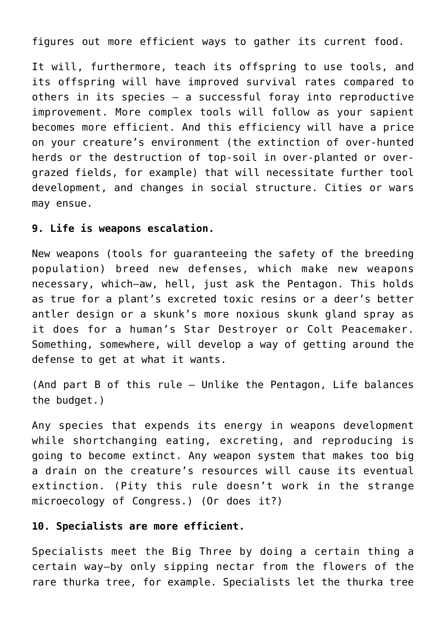figures out more efficient ways to gather its current food.

It will, furthermore, teach its offspring to use tools, and its offspring will have improved survival rates compared to others in its species — a successful foray into reproductive improvement. More complex tools will follow as your sapient becomes more efficient. And this efficiency will have a price on your creature's environment (the extinction of over-hunted herds or the destruction of top-soil in over-planted or overgrazed fields, for example) that will necessitate further tool development, and changes in social structure. Cities or wars may ensue.

# **9. Life is weapons escalation.**

New weapons (tools for guaranteeing the safety of the breeding population) breed new defenses, which make new weapons necessary, which—aw, hell, just ask the Pentagon. This holds as true for a plant's excreted toxic resins or a deer's better antler design or a skunk's more noxious skunk gland spray as it does for a human's Star Destroyer or Colt Peacemaker. Something, somewhere, will develop a way of getting around the defense to get at what it wants.

(And part B of this rule — Unlike the Pentagon, Life balances the budget.)

Any species that expends its energy in weapons development while shortchanging eating, excreting, and reproducing is going to become extinct. Any weapon system that makes too big a drain on the creature's resources will cause its eventual extinction. (Pity this rule doesn't work in the strange microecology of Congress.) (Or does it?)

# **10. Specialists are more efficient.**

Specialists meet the Big Three by doing a certain thing a certain way—by only sipping nectar from the flowers of the rare thurka tree, for example. Specialists let the thurka tree